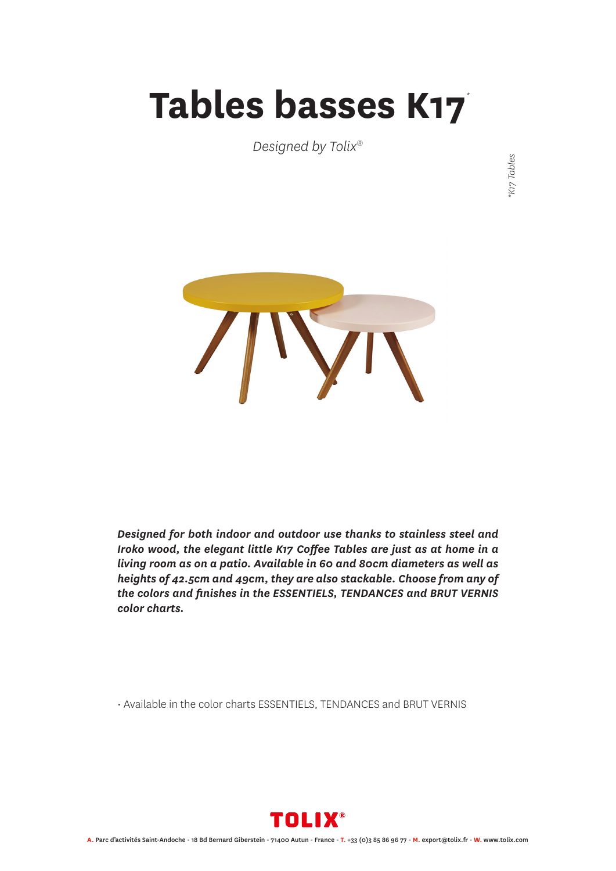## **Tables basses K17** *\**

*Designed by Tolix®*

K17 Tables *\*K17 Tables*



*Designed for both indoor and outdoor use thanks to stainless steel and Iroko wood, the elegant little K17 Coffee Tables are just as at home in a living room as on a patio. Available in 60 and 80cm diameters as well as heights of 42.5cm and 49cm, they are also stackable. Choose from any of the colors and finishes in the ESSENTIELS, TENDANCES and BRUT VERNIS color charts.*

• Available in the color charts ESSENTIELS, TENDANCES and BRUT VERNIS